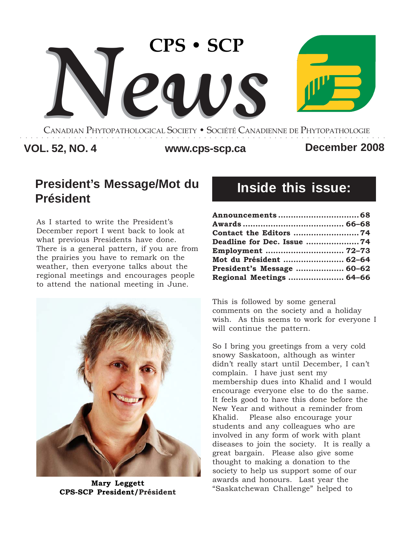

CANADIAN PHYTOPATHOLOGICAL SOCIETY **•** SOCIÉTÉ CANADIENNE DE PHYTOPATHOLOGIE ○○○○○○○○○○○○○○○○○○○○○○○○○○○○○○○○○○○○○○○○○○○○○○○○○○○○○○○○○○○○○○○○○○○○

### **VOL. 52, NO. 4 www.cps-scp.ca December 2008**

# **President's Message/Mot du Président**

As I started to write the President's December report I went back to look at what previous Presidents have done. There is a general pattern, if you are from the prairies you have to remark on the weather, then everyone talks about the regional meetings and encourages people to attend the national meeting in June.



**Mary Leggett CPS-SCP President/Président**

# **Inside this issue:**

| Contact the Editors 74     |  |
|----------------------------|--|
| Deadline for Dec. Issue 74 |  |
| Employment  72-73          |  |
| Mot du Président  62-64    |  |
| President's Message  60–62 |  |
| Regional Meetings  64-66   |  |

This is followed by some general comments on the society and a holiday wish. As this seems to work for everyone I will continue the pattern.

So I bring you greetings from a very cold snowy Saskatoon, although as winter didn't really start until December, I can't complain. I have just sent my membership dues into Khalid and I would encourage everyone else to do the same. It feels good to have this done before the New Year and without a reminder from Khalid. Please also encourage your students and any colleagues who are involved in any form of work with plant diseases to join the society. It is really a great bargain. Please also give some thought to making a donation to the society to help us support some of our awards and honours. Last year the "Saskatchewan Challenge" helped to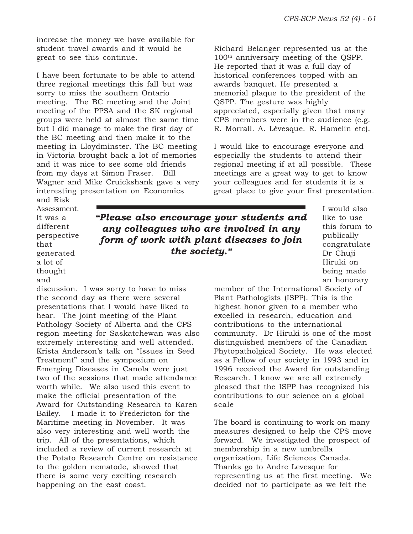increase the money we have available for student travel awards and it would be great to see this continue.

I have been fortunate to be able to attend three regional meetings this fall but was sorry to miss the southern Ontario meeting. The BC meeting and the Joint meeting of the PPSA and the SK regional groups were held at almost the same time but I did manage to make the first day of the BC meeting and then make it to the meeting in Lloydminster. The BC meeting in Victoria brought back a lot of memories and it was nice to see some old friends from my days at Simon Fraser. Bill Wagner and Mike Cruickshank gave a very interesting presentation on Economics

Richard Belanger represented us at the 100th anniversary meeting of the QSPP. He reported that it was a full day of historical conferences topped with an awards banquet. He presented a memorial plaque to the president of the QSPP. The gesture was highly appreciated, especially given that many CPS members were in the audience (e.g. R. Morrall. A. Lévesque. R. Hamelin etc).

I would like to encourage everyone and especially the students to attend their regional meeting if at all possible. These meetings are a great way to get to know your colleagues and for students it is a great place to give your first presentation.

and Risk Assessment. It was a different perspective that generated a lot of thought and

*"Please also encourage your students and any colleagues who are involved in any form of work with plant diseases to join the society."*

I would also like to use this forum to publically congratulate Dr Chuji Hiruki on being made an honorary

discussion. I was sorry to have to miss the second day as there were several presentations that I would have liked to hear. The joint meeting of the Plant Pathology Society of Alberta and the CPS region meeting for Saskatchewan was also extremely interesting and well attended. Krista Anderson's talk on "Issues in Seed Treatment" and the symposium on Emerging Diseases in Canola were just two of the sessions that made attendance worth while. We also used this event to make the official presentation of the Award for Outstanding Research to Karen Bailey. I made it to Fredericton for the Maritime meeting in November. It was also very interesting and well worth the trip. All of the presentations, which included a review of current research at the Potato Research Centre on resistance to the golden nematode, showed that there is some very exciting research happening on the east coast.

member of the International Society of Plant Pathologists (ISPP). This is the highest honor given to a member who excelled in research, education and contributions to the international community. Dr Hiruki is one of the most distinguished members of the Canadian Phytopatholgical Society. He was elected as a Fellow of our society in 1993 and in 1996 received the Award for outstanding Research. I know we are all extremely pleased that the ISPP has recognized his contributions to our science on a global scale

The board is continuing to work on many measures designed to help the CPS move forward. We investigated the prospect of membership in a new umbrella organization, Life Sciences Canada. Thanks go to Andre Levesque for representing us at the first meeting. We decided not to participate as we felt the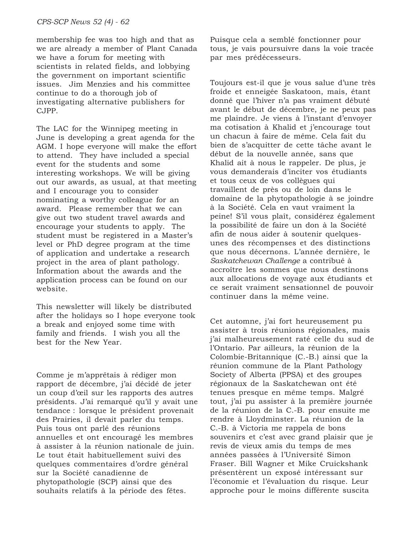membership fee was too high and that as we are already a member of Plant Canada we have a forum for meeting with scientists in related fields, and lobbying the government on important scientific issues. Jim Menzies and his committee continue to do a thorough job of investigating alternative publishers for CJPP.

The LAC for the Winnipeg meeting in June is developing a great agenda for the AGM. I hope everyone will make the effort to attend. They have included a special event for the students and some interesting workshops. We will be giving out our awards, as usual, at that meeting and I encourage you to consider nominating a worthy colleague for an award. Please remember that we can give out two student travel awards and encourage your students to apply. The student must be registered in a Master's level or PhD degree program at the time of application and undertake a research project in the area of plant pathology. Information about the awards and the application process can be found on our website.

This newsletter will likely be distributed after the holidays so I hope everyone took a break and enjoyed some time with family and friends. I wish you all the best for the New Year.

Comme je m'apprêtais à rédiger mon rapport de décembre, j'ai décidé de jeter un coup d'œil sur les rapports des autres présidents. J'ai remarqué qu'il y avait une tendance : lorsque le président provenait des Prairies, il devait parler du temps. Puis tous ont parlé des réunions annuelles et ont encouragé les membres à assister à la réunion nationale de juin. Le tout était habituellement suivi des quelques commentaires d'ordre général sur la Société canadienne de phytopathologie (SCP) ainsi que des souhaits relatifs à la période des fêtes.

Puisque cela a semblé fonctionner pour tous, je vais poursuivre dans la voie tracée par mes prédécesseurs.

Toujours est-il que je vous salue d'une très froide et enneigée Saskatoon, mais, étant donné que l'hiver n'a pas vraiment débuté avant le début de décembre, je ne peux pas me plaindre. Je viens à l'instant d'envoyer ma cotisation à Khalid et j'encourage tout un chacun à faire de même. Cela fait du bien de s'acquitter de cette tâche avant le début de la nouvelle année, sans que Khalid ait à nous le rappeler. De plus, je vous demanderais d'inciter vos étudiants et tous ceux de vos collègues qui travaillent de près ou de loin dans le domaine de la phytopathologie à se joindre à la Société. Cela en vaut vraiment la peine! S'il vous plaît, considérez également la possibilité de faire un don à la Société afin de nous aider à soutenir quelquesunes des récompenses et des distinctions que nous décernons. L'année dernière, le *Saskatchewan Challenge* a contribué à accroître les sommes que nous destinons aux allocations de voyage aux étudiants et ce serait vraiment sensationnel de pouvoir continuer dans la même veine.

Cet automne, j'ai fort heureusement pu assister à trois réunions régionales, mais j'ai malheureusement raté celle du sud de l'Ontario. Par ailleurs, la réunion de la Colombie-Britannique (C.-B.) ainsi que la réunion commune de la Plant Pathology Society of Alberta (PPSA) et des groupes régionaux de la Saskatchewan ont été tenues presque en même temps. Malgré tout, j'ai pu assister à la première journée de la réunion de la C.-B. pour ensuite me rendre à Lloydminster. La réunion de la C.-B. à Victoria me rappela de bons souvenirs et c'est avec grand plaisir que je revis de vieux amis du temps de mes années passées à l'Université Simon Fraser. Bill Wagner et Mike Cruickshank présentèrent un exposé intéressant sur l'économie et l'évaluation du risque. Leur approche pour le moins différente suscita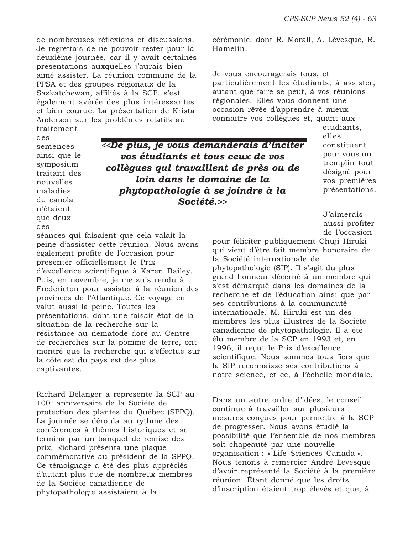cérémonie, dont R. Morall, A. Lévesque, R.

particulièrement les étudiants, à assister, autant que faire se peut, à vos réunions régionales. Elles vous donnent une occasion rêvée d'apprendre à mieux connaître vos collègues et, quant aux

Je vous encouragerais tous, et

de nombreuses réflexions et discussions. Je regrettais de ne pouvoir rester pour la deuxième journée, car il y avait certaines présentations auxquelles j'aurais bien aimé assister. La réunion commune de la PPSA et des groupes régionaux de la Saskatchewan, affiliés à la SCP, s'est également avérée des plus intéressantes et bien courue. La présentation de Krista Anderson sur les problèmes relatifs au

des semences ainsi que le symposium traitant des nouvelles maladies du canola

captivantes.

traitement

*<<De plus, je vous demanderais d'inciter vos étudiants et tous ceux de vos collègues qui travaillent de près ou de loin dans le domaine de la phytopathologie à se joindre à la Société.>>*

Hamelin.

étudiants, elles constituent pour vous un tremplin tout désigné pour vos premières présentations.

J'aimerais aussi profiter de l'occasion

pour féliciter publiquement Chuji Hiruki qui vient d'être fait membre honoraire de la Société internationale de phytopathologie (SIP). Il s'agit du plus grand honneur décerné à un membre qui s'est démarqué dans les domaines de la recherche et de l'éducation ainsi que par ses contributions à la communauté internationale. M. Hiruki est un des membres les plus illustres de la Société canadienne de phytopathologie. Il a été élu membre de la SCP en 1993 et, en 1996, il reçut le Prix d'excellence scientifique. Nous sommes tous fiers que la SIP reconnaisse ses contributions à notre science, et ce, à l'échelle mondiale.

Dans un autre ordre d'idées, le conseil continue à travailler sur plusieurs mesures conçues pour permettre à la SCP de progresser. Nous avons étudié la possibilité que l'ensemble de nos membres soit chapeauté par une nouvelle organisation : « Life Sciences Canada ». Nous tenons à remercier André Lévesque d'avoir représenté la Société à la première réunion. Étant donné que les droits d'inscription étaient trop élevés et que, à

n'étaient que deux des séances qui faisaient que cela valait la peine d'assister cette réunion. Nous avons également profité de l'occasion pour présenter officiellement le Prix d'excellence scientifique à Karen Bailey. Puis, en novembre, je me suis rendu à Fredericton pour assister à la réunion des provinces de l'Atlantique. Ce voyage en valut aussi la peine. Toutes les présentations, dont une faisait état de la situation de la recherche sur la résistance au nématode doré au Centre de recherches sur la pomme de terre, ont montré que la recherche qui s'effectue sur la côte est du pays est des plus

Richard Bélanger a représenté la SCP au 100e anniversaire de la Société de protection des plantes du Québec (SPPQ). La journée se déroula au rythme des conférences à thèmes historiques et se termina par un banquet de remise des prix. Richard présenta une plaque commémorative au président de la SPPQ. Ce témoignage a été des plus appréciés d'autant plus que de nombreux membres de la Société canadienne de phytopathologie assistaient à la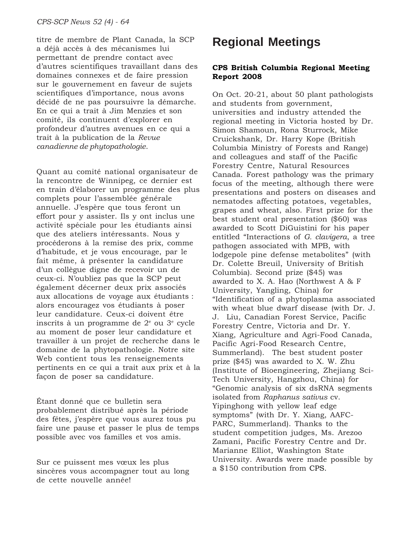titre de membre de Plant Canada, la SCP a déjà accès à des mécanismes lui permettant de prendre contact avec d'autres scientifiques travaillant dans des domaines connexes et de faire pression sur le gouvernement en faveur de sujets scientifiques d'importance, nous avons décidé de ne pas poursuivre la démarche. En ce qui a trait à Jim Menzies et son comité, ils continuent d'explorer en profondeur d'autres avenues en ce qui a trait à la publication de la *Revue canadienne de phytopathologie*.

Quant au comité national organisateur de la rencontre de Winnipeg, ce dernier est en train d'élaborer un programme des plus complets pour l'assemblée générale annuelle. J'espère que tous feront un effort pour y assister. Ils y ont inclus une activité spéciale pour les étudiants ainsi que des ateliers intéressants. Nous y procéderons à la remise des prix, comme d'habitude, et je vous encourage, par le fait même, à présenter la candidature d'un collègue digne de recevoir un de ceux-ci. N'oubliez pas que la SCP peut également décerner deux prix associés aux allocations de voyage aux étudiants : alors encouragez vos étudiants à poser leur candidature. Ceux-ci doivent être inscrits à un programme de  $2^e$  ou  $3^e$  cycle au moment de poser leur candidature et travailler à un projet de recherche dans le domaine de la phytopathologie. Notre site Web contient tous les renseignements pertinents en ce qui a trait aux prix et à la façon de poser sa candidature.

Étant donné que ce bulletin sera probablement distribué après la période des fêtes, j'espère que vous aurez tous pu faire une pause et passer le plus de temps possible avec vos familles et vos amis.

Sur ce puissent mes vœux les plus sincères vous accompagner tout au long de cette nouvelle année!

## **Regional Meetings**

#### **CPS British Columbia Regional Meeting Report 2008**

On Oct. 20-21, about 50 plant pathologists and students from government, universities and industry attended the regional meeting in Victoria hosted by Dr. Simon Shamoun, Rona Sturrock, Mike Cruickshank, Dr. Harry Kope (British Columbia Ministry of Forests and Range) and colleagues and staff of the Pacific Forestry Centre, Natural Resources Canada. Forest pathology was the primary focus of the meeting, although there were presentations and posters on diseases and nematodes affecting potatoes, vegetables, grapes and wheat, also. First prize for the best student oral presentation (\$60) was awarded to Scott DiGuistini for his paper entitled "Interactions of *G. clavigera*, a tree pathogen associated with MPB, with lodgepole pine defense metabolites" (with Dr. Colette Breuil, University of British Columbia). Second prize (\$45) was awarded to X. A. Hao (Northwest A & F University, Yangling, China) for "Identification of a phytoplasma associated with wheat blue dwarf disease (with Dr. J. J. Liu, Canadian Forest Service, Pacific Forestry Centre, Victoria and Dr. Y. Xiang, Agriculture and Agri-Food Canada, Pacific Agri-Food Research Centre, Summerland).The best student poster prize (\$45) was awarded to X. W. Zhu (Institute of Bioengineering, Zhejiang Sci-Tech University, Hangzhou, China) for "Genomic analysis of six dsRNA segments isolated from *Raphanus sativus* cv. Yipinghong with yellow leaf edge symptoms" (with Dr. Y. Xiang, AAFC-PARC, Summerland). Thanks to the student competition judges, Ms. Arezoo Zamani, Pacific Forestry Centre and Dr. Marianne Elliot, Washington State University. Awards were made possible by a \$150 contribution from CPS.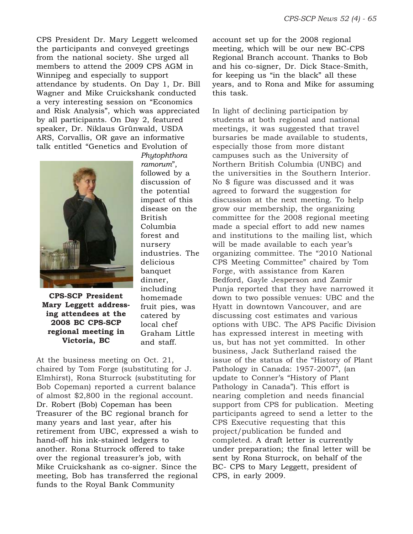CPS President Dr. Mary Leggett welcomed the participants and conveyed greetings from the national society. She urged all members to attend the 2009 CPS AGM in Winnipeg and especially to support attendance by students. On Day 1, Dr. Bill Wagner and Mike Cruickshank conducted a very interesting session on "Economics and Risk Analysis", which was appreciated by all participants. On Day 2, featured speaker, Dr. Niklaus Grünwald, USDA ARS, Corvallis, OR gave an informative talk entitled "Genetics and Evolution of



**CPS-SCP President Mary Leggett addressing attendees at the 2008 BC CPS-SCP regional meeting in Victoria, BC**

*Phytophthora ramorum*", followed by a discussion of the potential impact of this disease on the British Columbia forest and nursery industries. The delicious banquet dinner, including homemade fruit pies, was catered by local chef Graham Little and staff.

At the business meeting on Oct. 21, chaired by Tom Forge (substituting for J. Elmhirst), Rona Sturrock (substituting for Bob Copeman) reported a current balance of almost \$2,800 in the regional account. Dr. Robert (Bob) Copeman has been Treasurer of the BC regional branch for many years and last year, after his retirement from UBC, expressed a wish to hand-off his ink-stained ledgers to another. Rona Sturrock offered to take over the regional treasurer's job, with Mike Cruickshank as co-signer. Since the meeting, Bob has transferred the regional funds to the Royal Bank Community

account set up for the 2008 regional meeting, which will be our new BC-CPS Regional Branch account. Thanks to Bob and his co-signer, Dr. Dick Stace-Smith, for keeping us "in the black" all these years, and to Rona and Mike for assuming this task.

In light of declining participation by students at both regional and national meetings, it was suggested that travel bursaries be made available to students, especially those from more distant campuses such as the University of Northern British Columbia (UNBC) and the universities in the Southern Interior. No \$ figure was discussed and it was agreed to forward the suggestion for discussion at the next meeting. To help grow our membership, the organizing committee for the 2008 regional meeting made a special effort to add new names and institutions to the mailing list, which will be made available to each year's organizing committee. The "2010 National CPS Meeting Committee" chaired by Tom Forge, with assistance from Karen Bedford, Gayle Jesperson and Zamir Punja reported that they have narrowed it down to two possible venues: UBC and the Hyatt in downtown Vancouver, and are discussing cost estimates and various options with UBC. The APS Pacific Division has expressed interest in meeting with us, but has not yet committed. In other business, Jack Sutherland raised the issue of the status of the "History of Plant Pathology in Canada: 1957-2007", (an update to Conner's "History of Plant Pathology in Canada"). This effort is nearing completion and needs financial support from CPS for publication. Meeting participants agreed to send a letter to the CPS Executive requesting that this project/publication be funded and completed. A draft letter is currently under preparation; the final letter will be sent by Rona Sturrock, on behalf of the BC- CPS to Mary Leggett, president of CPS, in early 2009.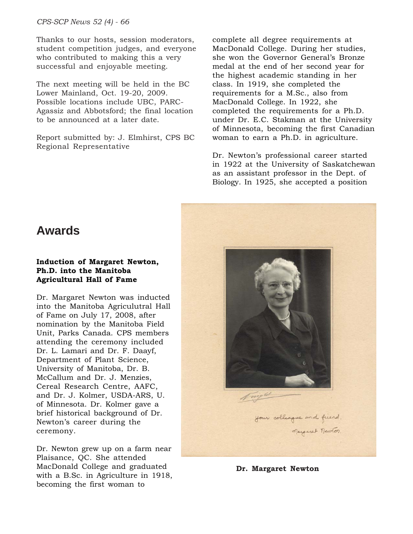*CPS-SCP News 52 (4) - 66*

Thanks to our hosts, session moderators, student competition judges, and everyone who contributed to making this a very successful and enjoyable meeting.

The next meeting will be held in the BC Lower Mainland, Oct. 19-20, 2009. Possible locations include UBC, PARC-Agassiz and Abbotsford; the final location to be announced at a later date.

Report submitted by: J. Elmhirst, CPS BC Regional Representative

complete all degree requirements at MacDonald College. During her studies, she won the Governor General's Bronze medal at the end of her second year for the highest academic standing in her class. In 1919, she completed the requirements for a M.Sc., also from MacDonald College. In 1922, she completed the requirements for a Ph.D. under Dr. E.C. Stakman at the University of Minnesota, becoming the first Canadian woman to earn a Ph.D. in agriculture.

Dr. Newton's professional career started in 1922 at the University of Saskatchewan as an assistant professor in the Dept. of Biology. In 1925, she accepted a position

### **Awards**

#### **Induction of Margaret Newton, Ph.D. into the Manitoba Agricultural Hall of Fame**

Dr. Margaret Newton was inducted into the Manitoba Agriculutral Hall of Fame on July 17, 2008, after nomination by the Manitoba Field Unit, Parks Canada. CPS members attending the ceremony included Dr. L. Lamari and Dr. F. Daayf, Department of Plant Science, University of Manitoba, Dr. B. McCallum and Dr. J. Menzies, Cereal Research Centre, AAFC, and Dr. J. Kolmer, USDA-ARS, U. of Minnesota. Dr. Kolmer gave a brief historical background of Dr. Newton's career during the ceremony.

Dr. Newton grew up on a farm near Plaisance, QC. She attended MacDonald College and graduated with a B.Sc. in Agriculture in 1918, becoming the first woman to



**Dr. Margaret Newton**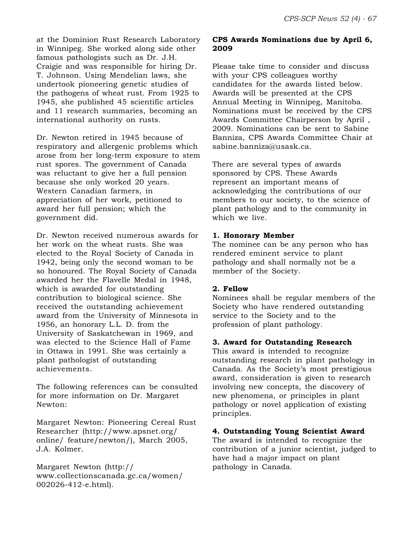at the Dominion Rust Research Laboratory in Winnipeg. She worked along side other famous pathologists such as Dr. J.H. Craigie and was responsible for hiring Dr. T. Johnson. Using Mendelian laws, she undertook pioneering genetic studies of the pathogens of wheat rust. From 1925 to 1945, she published 45 scientific articles and 11 research summaries, becoming an international authority on rusts.

Dr. Newton retired in 1945 because of respiratory and allergenic problems which arose from her long-term exposure to stem rust spores. The government of Canada was reluctant to give her a full pension because she only worked 20 years. Western Canadian farmers, in appreciation of her work, petitioned to award her full pension; which the government did.

Dr. Newton received numerous awards for her work on the wheat rusts. She was elected to the Royal Society of Canada in 1942, being only the second woman to be so honoured. The Royal Society of Canada awarded her the Flavelle Medal in 1948, which is awarded for outstanding contribution to biological science. She received the outstanding achievement award from the University of Minnesota in 1956, an honorary L.L. D. from the University of Saskatchewan in 1969, and was elected to the Science Hall of Fame in Ottawa in 1991. She was certainly a plant pathologist of outstanding achievements.

The following references can be consulted for more information on Dr. Margaret Newton:

Margaret Newton: Pioneering Cereal Rust Researcher (http://www.apsnet.org/ online/ feature/newton/), March 2005, J.A. Kolmer.

Margaret Newton (http:// www.collectionscanada.gc.ca/women/ 002026-412-e.html).

#### **CPS Awards Nominations due by April 6, 2009**

Please take time to consider and discuss with your CPS colleagues worthy candidates for the awards listed below. Awards will be presented at the CPS Annual Meeting in Winnipeg, Manitoba. Nominations must be received by the CPS Awards Committee Chairperson by April , 2009. Nominations can be sent to Sabine Banniza, CPS Awards Committee Chair at sabine.banniza@usask.ca.

There are several types of awards sponsored by CPS. These Awards represent an important means of acknowledging the contributions of our members to our society, to the science of plant pathology and to the community in which we live.

#### **1. Honorary Member**

The nominee can be any person who has rendered eminent service to plant pathology and shall normally not be a member of the Society.

#### **2. Fellow**

Nominees shall be regular members of the Society who have rendered outstanding service to the Society and to the profession of plant pathology.

#### **3. Award for Outstanding Research**

This award is intended to recognize outstanding research in plant pathology in Canada. As the Society's most prestigious award, consideration is given to research involving new concepts, the discovery of new phenomena, or principles in plant pathology or novel application of existing principles.

#### **4. Outstanding Young Scientist Award**

The award is intended to recognize the contribution of a junior scientist, judged to have had a major impact on plant pathology in Canada.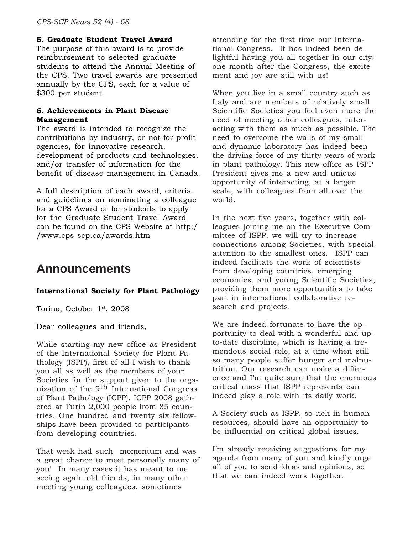#### **5. Graduate Student Travel Award**

The purpose of this award is to provide reimbursement to selected graduate students to attend the Annual Meeting of the CPS. Two travel awards are presented annually by the CPS, each for a value of \$300 per student.

#### **6. Achievements in Plant Disease Management**

The award is intended to recognize the contributions by industry, or not-for-profit agencies, for innovative research, development of products and technologies, and/or transfer of information for the benefit of disease management in Canada.

A full description of each award, criteria and guidelines on nominating a colleague for a CPS Award or for students to apply for the Graduate Student Travel Award can be found on the CPS Website at http:/ /www.cps-scp.ca/awards.htm

### **Announcements**

#### **International Society for Plant Pathology**

Torino, October 1<sup>st</sup>, 2008

Dear colleagues and friends,

While starting my new office as President of the International Society for Plant Pathology (ISPP), first of all I wish to thank you all as well as the members of your Societies for the support given to the organization of the 9th International Congress of Plant Pathology (ICPP). ICPP 2008 gathered at Turin 2,000 people from 85 countries. One hundred and twenty six fellowships have been provided to participants from developing countries.

That week had such momentum and was a great chance to meet personally many of you! In many cases it has meant to me seeing again old friends, in many other meeting young colleagues, sometimes

attending for the first time our International Congress. It has indeed been delightful having you all together in our city: one month after the Congress, the excitement and joy are still with us!

When you live in a small country such as Italy and are members of relatively small Scientific Societies you feel even more the need of meeting other colleagues, interacting with them as much as possible. The need to overcome the walls of my small and dynamic laboratory has indeed been the driving force of my thirty years of work in plant pathology. This new office as ISPP President gives me a new and unique opportunity of interacting, at a larger scale, with colleagues from all over the world.

In the next five years, together with colleagues joining me on the Executive Committee of ISPP, we will try to increase connections among Societies, with special attention to the smallest ones. ISPP can indeed facilitate the work of scientists from developing countries, emerging economies, and young Scientific Societies, providing them more opportunities to take part in international collaborative research and projects.

We are indeed fortunate to have the opportunity to deal with a wonderful and upto-date discipline, which is having a tremendous social role, at a time when still so many people suffer hunger and malnutrition. Our research can make a difference and I'm quite sure that the enormous critical mass that ISPP represents can indeed play a role with its daily work.

A Society such as ISPP, so rich in human resources, should have an opportunity to be influential on critical global issues.

I'm already receiving suggestions for my agenda from many of you and kindly urge all of you to send ideas and opinions, so that we can indeed work together.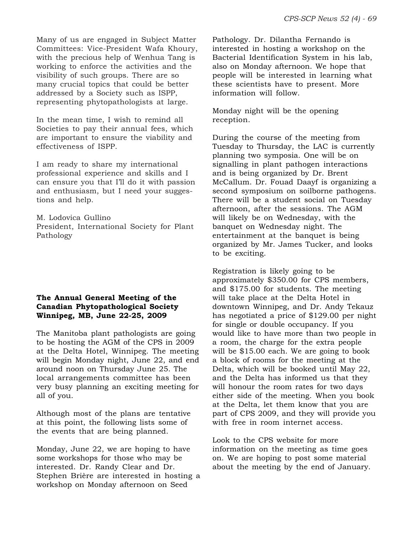Many of us are engaged in Subject Matter Committees: Vice-President Wafa Khoury, with the precious help of Wenhua Tang is working to enforce the activities and the visibility of such groups. There are so many crucial topics that could be better addressed by a Society such as ISPP, representing phytopathologists at large.

In the mean time, I wish to remind all Societies to pay their annual fees, which are important to ensure the viability and effectiveness of ISPP.

I am ready to share my international professional experience and skills and I can ensure you that I'll do it with passion and enthusiasm, but I need your suggestions and help.

M. Lodovica Gullino President, International Society for Plant Pathology

#### **The Annual General Meeting of the Canadian Phytopathological Society Winnipeg, MB, June 22-25, 2009**

The Manitoba plant pathologists are going to be hosting the AGM of the CPS in 2009 at the Delta Hotel, Winnipeg. The meeting will begin Monday night, June 22, and end around noon on Thursday June 25. The local arrangements committee has been very busy planning an exciting meeting for all of you.

Although most of the plans are tentative at this point, the following lists some of the events that are being planned.

Monday, June 22, we are hoping to have some workshops for those who may be interested. Dr. Randy Clear and Dr. Stephen Brière are interested in hosting a workshop on Monday afternoon on Seed

Pathology. Dr. Dilantha Fernando is interested in hosting a workshop on the Bacterial Identification System in his lab, also on Monday afternoon. We hope that people will be interested in learning what these scientists have to present. More information will follow.

Monday night will be the opening reception.

During the course of the meeting from Tuesday to Thursday, the LAC is currently planning two symposia. One will be on signalling in plant pathogen interactions and is being organized by Dr. Brent McCallum. Dr. Fouad Daayf is organizing a second symposium on soilborne pathogens. There will be a student social on Tuesday afternoon, after the sessions. The AGM will likely be on Wednesday, with the banquet on Wednesday night. The entertainment at the banquet is being organized by Mr. James Tucker, and looks to be exciting.

Registration is likely going to be approximately \$350.00 for CPS members, and \$175.00 for students. The meeting will take place at the Delta Hotel in downtown Winnipeg, and Dr. Andy Tekauz has negotiated a price of \$129.00 per night for single or double occupancy. If you would like to have more than two people in a room, the charge for the extra people will be \$15.00 each. We are going to book a block of rooms for the meeting at the Delta, which will be booked until May 22, and the Delta has informed us that they will honour the room rates for two days either side of the meeting. When you book at the Delta, let them know that you are part of CPS 2009, and they will provide you with free in room internet access.

Look to the CPS website for more information on the meeting as time goes on. We are hoping to post some material about the meeting by the end of January.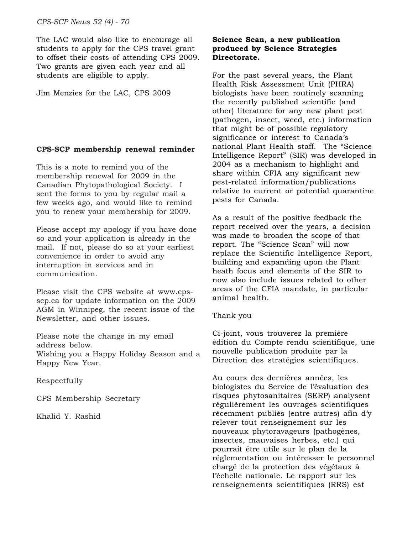*CPS-SCP News 52 (4) - 70*

The LAC would also like to encourage all students to apply for the CPS travel grant to offset their costs of attending CPS 2009. Two grants are given each year and all students are eligible to apply.

Jim Menzies for the LAC, CPS 2009

#### **CPS-SCP membership renewal reminder**

This is a note to remind you of the membership renewal for 2009 in the Canadian Phytopathological Society. I sent the forms to you by regular mail a few weeks ago, and would like to remind you to renew your membership for 2009.

Please accept my apology if you have done so and your application is already in the mail. If not, please do so at your earliest convenience in order to avoid any interruption in services and in communication.

Please visit the CPS website at www.cpsscp.ca for update information on the 2009 AGM in Winnipeg, the recent issue of the Newsletter, and other issues.

Please note the change in my email address below. Wishing you a Happy Holiday Season and a Happy New Year.

Respectfully

CPS Membership Secretary

Khalid Y. Rashid

#### **Science Scan, a new publication produced by Science Strategies Directorate.**

For the past several years, the Plant Health Risk Assessment Unit (PHRA) biologists have been routinely scanning the recently published scientific (and other) literature for any new plant pest (pathogen, insect, weed, etc.) information that might be of possible regulatory significance or interest to Canada's national Plant Health staff. The "Science Intelligence Report" (SIR) was developed in 2004 as a mechanism to highlight and share within CFIA any significant new pest-related information/publications relative to current or potential quarantine pests for Canada.

As a result of the positive feedback the report received over the years, a decision was made to broaden the scope of that report. The "Science Scan" will now replace the Scientific Intelligence Report, building and expanding upon the Plant heath focus and elements of the SIR to now also include issues related to other areas of the CFIA mandate, in particular animal health.

#### Thank you

Ci-joint, vous trouverez la première édition du Compte rendu scientifique, une nouvelle publication produite par la Direction des stratégies scientifiques.

Au cours des dernières années, les biologistes du Service de l'évaluation des risques phytosanitaires (SERP) analysent régulièrement les ouvrages scientifiques récemment publiés (entre autres) afin d'y relever tout renseignement sur les nouveaux phytoravageurs (pathogènes, insectes, mauvaises herbes, etc.) qui pourrait être utile sur le plan de la réglementation ou intéresser le personnel chargé de la protection des végétaux à l'échelle nationale. Le rapport sur les renseignements scientifiques (RRS) est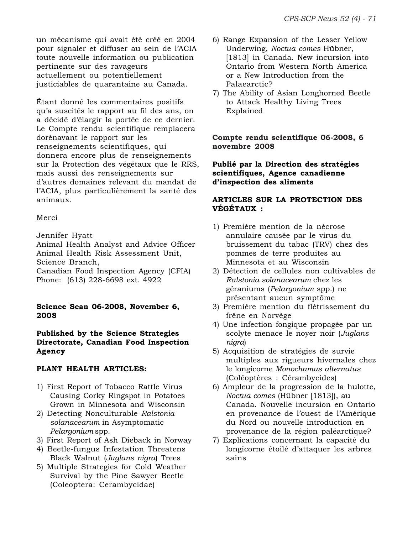un mécanisme qui avait été créé en 2004 pour signaler et diffuser au sein de l'ACIA toute nouvelle information ou publication pertinente sur des ravageurs actuellement ou potentiellement justiciables de quarantaine au Canada.

Étant donné les commentaires positifs qu'a suscités le rapport au fil des ans, on a décidé d'élargir la portée de ce dernier. Le Compte rendu scientifique remplacera dorénavant le rapport sur les renseignements scientifiques, qui donnera encore plus de renseignements sur la Protection des végétaux que le RRS, mais aussi des renseignements sur d'autres domaines relevant du mandat de l'ACIA, plus particulièrement la santé des animaux.

#### Merci

Jennifer Hyatt

Animal Health Analyst and Advice Officer Animal Health Risk Assessment Unit, Science Branch,

Canadian Food Inspection Agency (CFIA) Phone: (613) 228-6698 ext. 4922

#### **Science Scan 06-2008, November 6, 2008**

**Published by the Science Strategies Directorate, Canadian Food Inspection Agency**

#### **PLANT HEALTH ARTICLES:**

- 1) First Report of Tobacco Rattle Virus Causing Corky Ringspot in Potatoes Grown in Minnesota and Wisconsin
- 2) Detecting Nonculturable *Ralstonia solanacearum* in Asymptomatic *Pelargonium* spp.
- 3) First Report of Ash Dieback in Norway
- 4) Beetle-fungus Infestation Threatens Black Walnut (*Juglans nigra*) Trees
- 5) Multiple Strategies for Cold Weather Survival by the Pine Sawyer Beetle (Coleoptera: Cerambycidae)
- 6) Range Expansion of the Lesser Yellow Underwing, *Noctua comes* Hübner, [1813] in Canada. New incursion into Ontario from Western North America or a New Introduction from the Palaearctic?
- 7) The Ability of Asian Longhorned Beetle to Attack Healthy Living Trees Explained

**Compte rendu scientifique 06-2008, 6 novembre 2008**

#### **Publié par la Direction des stratégies scientifiques, Agence canadienne d'inspection des aliments**

#### **ARTICLES SUR LA PROTECTION DES VÉGÉTAUX :**

- 1) Première mention de la nécrose annulaire causée par le virus du bruissement du tabac (TRV) chez des pommes de terre produites au Minnesota et au Wisconsin
- 2) Détection de cellules non cultivables de *Ralstonia solanacearum* chez les géraniums (*Pelargonium* spp.) ne présentant aucun symptôme
- 3) Première mention du flétrissement du frêne en Norvège
- 4) Une infection fongique propagée par un scolyte menace le noyer noir (*Juglans nigra*)
- 5) Acquisition de stratégies de survie multiples aux rigueurs hivernales chez le longicorne *Monochamus alternatus* (Coléoptères : Cérambycides)
- 6) Ampleur de la progression de la hulotte, *Noctua comes* (Hübner [1813]), au Canada. Nouvelle incursion en Ontario en provenance de l'ouest de l'Amérique du Nord ou nouvelle introduction en provenance de la région paléarctique?
- 7) Explications concernant la capacité du longicorne étoilé d'attaquer les arbres sains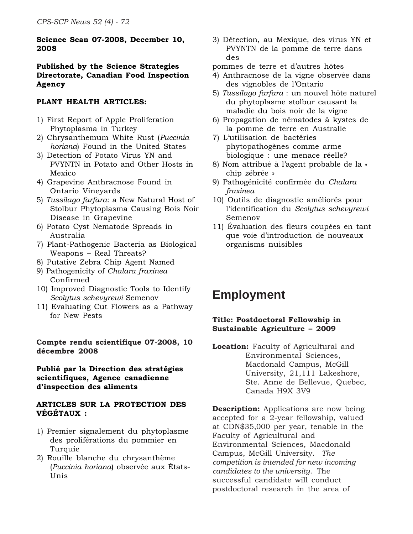#### **Science Scan 07-2008, December 10, 2008**

#### **Published by the Science Strategies Directorate, Canadian Food Inspection Agency**

#### **PLANT HEALTH ARTICLES:**

- 1) First Report of Apple Proliferation Phytoplasma in Turkey
- 2) Chrysanthemum White Rust (*Puccinia horiana*) Found in the United States
- 3) Detection of Potato Virus YN and PVYNTN in Potato and Other Hosts in Mexico
- 4) Grapevine Anthracnose Found in Ontario Vineyards
- 5) *Tussilago farfara*: a New Natural Host of Stolbur Phytoplasma Causing Bois Noir Disease in Grapevine
- 6) Potato Cyst Nematode Spreads in Australia
- 7) Plant-Pathogenic Bacteria as Biological Weapons – Real Threats?
- 8) Putative Zebra Chip Agent Named
- 9) Pathogenicity of *Chalara fraxinea* Confirmed
- 10) Improved Diagnostic Tools to Identify *Scolytus schevyrewi* Semenov
- 11) Evaluating Cut Flowers as a Pathway for New Pests

#### **Compte rendu scientifique 07-2008, 10 décembre 2008**

#### **Publié par la Direction des stratégies scientifiques, Agence canadienne d'inspection des aliments**

#### **ARTICLES SUR LA PROTECTION DES VÉGÉTAUX :**

- 1) Premier signalement du phytoplasme des proliférations du pommier en Turquie
- 2) Rouille blanche du chrysanthème (*Puccinia horiana*) observée aux États-Unis
- 3) Détection, au Mexique, des virus YN et PVYNTN de la pomme de terre dans des
- pommes de terre et d'autres hôtes
- 4) Anthracnose de la vigne observée dans des vignobles de l'Ontario
- 5) *Tussilago farfara* : un nouvel hôte naturel du phytoplasme stolbur causant la maladie du bois noir de la vigne
- 6) Propagation de nématodes à kystes de la pomme de terre en Australie
- 7) L'utilisation de bactéries phytopathogènes comme arme biologique : une menace réelle?
- 8) Nom attribué à l'agent probable de la « chip zébrée »
- 9) Pathogénicité confirmée du *Chalara fraxinea*
- 10) Outils de diagnostic améliorés pour l'identification du *Scolytus schevyrewi* Semenov
- 11) Évaluation des fleurs coupées en tant que voie d'introduction de nouveaux organisms nuisibles

# **Employment**

#### **Title: Postdoctoral Fellowship in Sustainable Agriculture – 2009**

**Location:** Faculty of Agricultural and Environmental Sciences, Macdonald Campus, McGill University, 21,111 Lakeshore, Ste. Anne de Bellevue, Quebec, Canada H9X 3V9

**Description:** Applications are now being accepted for a 2-year fellowship, valued at CDN\$35,000 per year, tenable in the Faculty of Agricultural and Environmental Sciences, Macdonald Campus, McGill University. *The competition is intended for new incoming candidates to the university*. The successful candidate will conduct postdoctoral research in the area of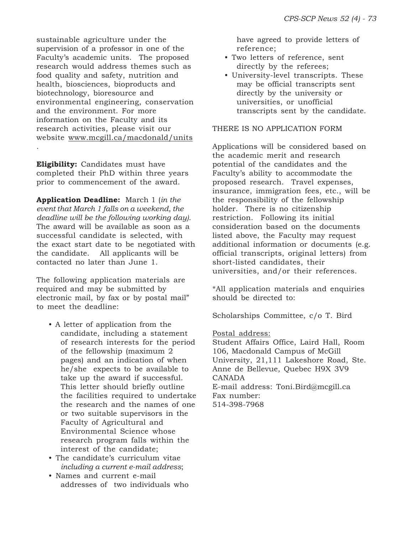sustainable agriculture under the supervision of a professor in one of the Faculty's academic units. The proposed research would address themes such as food quality and safety, nutrition and health, biosciences, bioproducts and biotechnology, bioresource and environmental engineering, conservation and the environment. For more information on the Faculty and its research activities, please visit our website www.mcgill.ca/macdonald/units .

**Eligibility:** Candidates must have completed their PhD within three years prior to commencement of the award.

**Application Deadline:** March 1 (*in the event that March 1 falls on a weekend, the deadline will be the following working day)*. The award will be available as soon as a successful candidate is selected, with the exact start date to be negotiated with the candidate. All applicants will be contacted no later than June 1.

The following application materials are required and may be submitted by electronic mail, by fax or by postal mail" to meet the deadline:

- A letter of application from the candidate, including a statement of research interests for the period of the fellowship (maximum 2 pages) and an indication of when he/she expects to be available to take up the award if successful. This letter should briefly outline the facilities required to undertake the research and the names of one or two suitable supervisors in the Faculty of Agricultural and Environmental Science whose research program falls within the interest of the candidate;
- The candidate's curriculum vitae *including a current e-mail address*;
- Names and current e-mail addresses of two individuals who

have agreed to provide letters of reference;

- Two letters of reference, sent directly by the referees;
- University-level transcripts. These may be official transcripts sent directly by the university or universities, or unofficial transcripts sent by the candidate.

#### THERE IS NO APPLICATION FORM

Applications will be considered based on the academic merit and research potential of the candidates and the Faculty's ability to accommodate the proposed research. Travel expenses, insurance, immigration fees, etc., will be the responsibility of the fellowship holder. There is no citizenship restriction. Following its initial consideration based on the documents listed above, the Faculty may request additional information or documents (e.g. official transcripts, original letters) from short-listed candidates, their universities, and/or their references.

\*All application materials and enquiries should be directed to:

Scholarships Committee, c/o T. Bird

#### Postal address:

Student Affairs Office, Laird Hall, Room 106, Macdonald Campus of McGill University, 21,111 Lakeshore Road, Ste. Anne de Bellevue, Quebec H9X 3V9 CANADA E-mail address: Toni.Bird@mcgill.ca Fax number: 514-398-7968